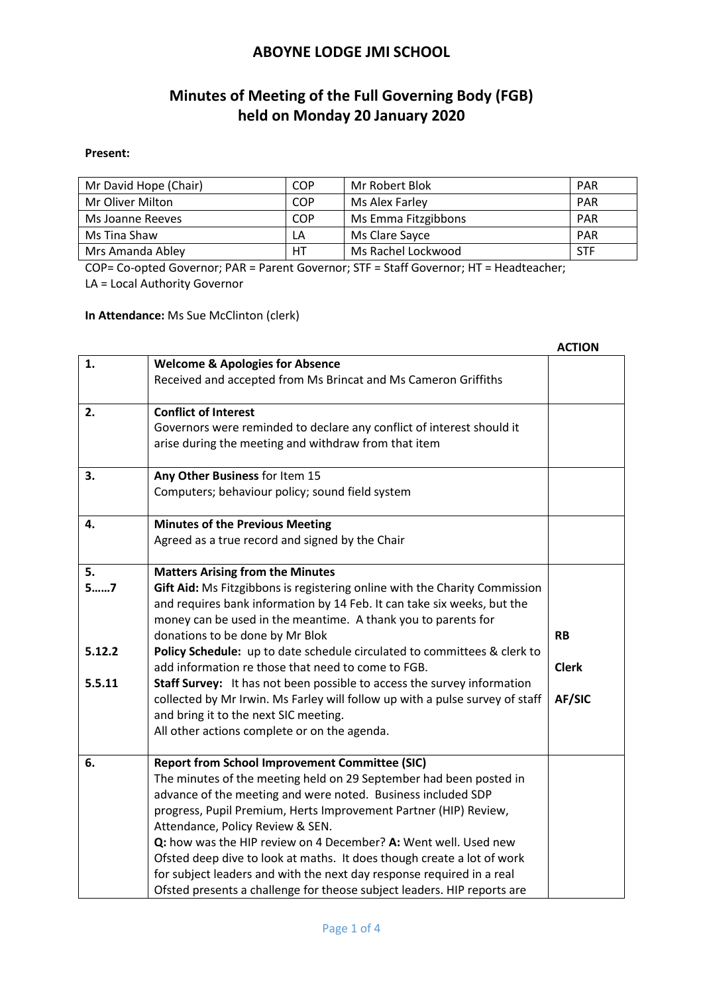### **Minutes of Meeting of the Full Governing Body (FGB) held on Monday 20 January 2020**

#### **Present:**

| Mr David Hope (Chair) | COP | Mr Robert Blok      | <b>PAR</b> |
|-----------------------|-----|---------------------|------------|
| Mr Oliver Milton      | COP | Ms Alex Farley      | PAR        |
| Ms Joanne Reeves      | COP | Ms Emma Fitzgibbons | <b>PAR</b> |
| Ms Tina Shaw          | LA  | Ms Clare Sayce      | <b>PAR</b> |
| Mrs Amanda Abley      | HТ  | Ms Rachel Lockwood  | STF        |

COP= Co-opted Governor; PAR = Parent Governor; STF = Staff Governor; HT = Headteacher; LA = Local Authority Governor

**In Attendance:** Ms Sue McClinton (clerk)

|        |                                                                              | <b>ACTION</b> |
|--------|------------------------------------------------------------------------------|---------------|
| 1.     | <b>Welcome &amp; Apologies for Absence</b>                                   |               |
|        | Received and accepted from Ms Brincat and Ms Cameron Griffiths               |               |
| 2.     | <b>Conflict of Interest</b>                                                  |               |
|        | Governors were reminded to declare any conflict of interest should it        |               |
|        | arise during the meeting and withdraw from that item                         |               |
| 3.     | Any Other Business for Item 15                                               |               |
|        | Computers; behaviour policy; sound field system                              |               |
| 4.     | <b>Minutes of the Previous Meeting</b>                                       |               |
|        | Agreed as a true record and signed by the Chair                              |               |
| 5.     | <b>Matters Arising from the Minutes</b>                                      |               |
| 57     | Gift Aid: Ms Fitzgibbons is registering online with the Charity Commission   |               |
|        | and requires bank information by 14 Feb. It can take six weeks, but the      |               |
|        | money can be used in the meantime. A thank you to parents for                |               |
|        | donations to be done by Mr Blok                                              | <b>RB</b>     |
| 5.12.2 | Policy Schedule: up to date schedule circulated to committees & clerk to     |               |
|        | add information re those that need to come to FGB.                           | <b>Clerk</b>  |
| 5.5.11 | Staff Survey: It has not been possible to access the survey information      |               |
|        | collected by Mr Irwin. Ms Farley will follow up with a pulse survey of staff | AF/SIC        |
|        | and bring it to the next SIC meeting.                                        |               |
|        | All other actions complete or on the agenda.                                 |               |
| 6.     | <b>Report from School Improvement Committee (SIC)</b>                        |               |
|        | The minutes of the meeting held on 29 September had been posted in           |               |
|        | advance of the meeting and were noted. Business included SDP                 |               |
|        | progress, Pupil Premium, Herts Improvement Partner (HIP) Review,             |               |
|        | Attendance, Policy Review & SEN.                                             |               |
|        | Q: how was the HIP review on 4 December? A: Went well. Used new              |               |
|        | Ofsted deep dive to look at maths. It does though create a lot of work       |               |
|        | for subject leaders and with the next day response required in a real        |               |
|        | Ofsted presents a challenge for theose subject leaders. HIP reports are      |               |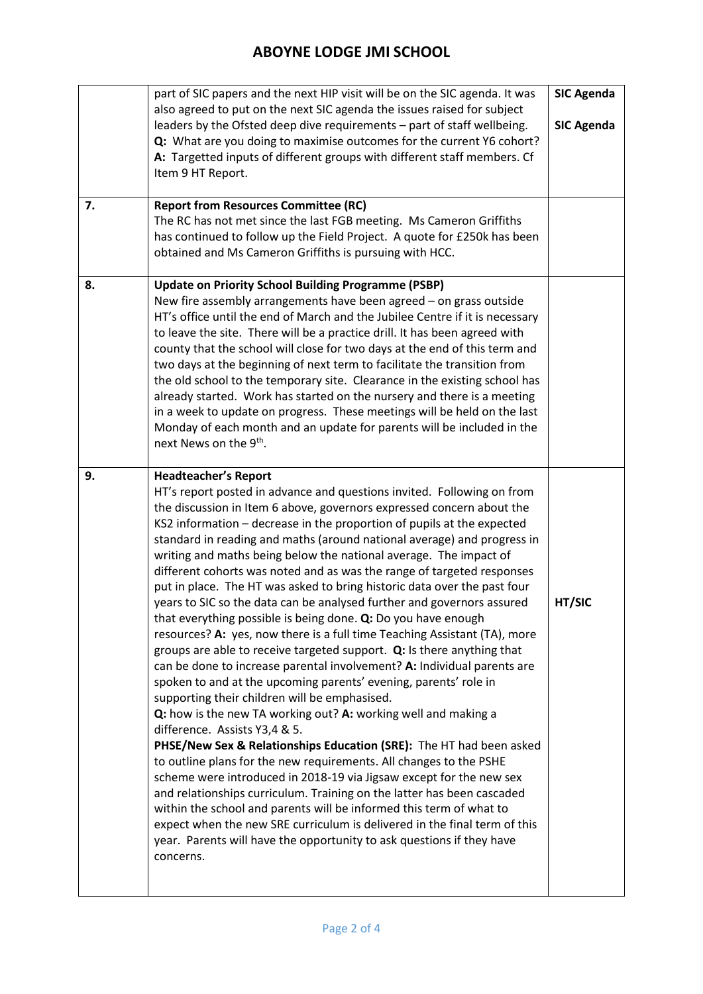| 7. | part of SIC papers and the next HIP visit will be on the SIC agenda. It was<br>also agreed to put on the next SIC agenda the issues raised for subject<br>leaders by the Ofsted deep dive requirements - part of staff wellbeing.<br>Q: What are you doing to maximise outcomes for the current Y6 cohort?<br>A: Targetted inputs of different groups with different staff members. Cf<br>Item 9 HT Report.<br><b>Report from Resources Committee (RC)</b><br>The RC has not met since the last FGB meeting. Ms Cameron Griffiths<br>has continued to follow up the Field Project. A quote for £250k has been<br>obtained and Ms Cameron Griffiths is pursuing with HCC.                                                                                                                                                                                                                                                                                                                                                                                                                                                                                                                                                                                                                                                                                                                                                                                                                                                                                                                                                                                                                                    | <b>SIC Agenda</b><br><b>SIC Agenda</b> |
|----|-------------------------------------------------------------------------------------------------------------------------------------------------------------------------------------------------------------------------------------------------------------------------------------------------------------------------------------------------------------------------------------------------------------------------------------------------------------------------------------------------------------------------------------------------------------------------------------------------------------------------------------------------------------------------------------------------------------------------------------------------------------------------------------------------------------------------------------------------------------------------------------------------------------------------------------------------------------------------------------------------------------------------------------------------------------------------------------------------------------------------------------------------------------------------------------------------------------------------------------------------------------------------------------------------------------------------------------------------------------------------------------------------------------------------------------------------------------------------------------------------------------------------------------------------------------------------------------------------------------------------------------------------------------------------------------------------------------|----------------------------------------|
| 8. | <b>Update on Priority School Building Programme (PSBP)</b><br>New fire assembly arrangements have been agreed - on grass outside<br>HT's office until the end of March and the Jubilee Centre if it is necessary<br>to leave the site. There will be a practice drill. It has been agreed with<br>county that the school will close for two days at the end of this term and<br>two days at the beginning of next term to facilitate the transition from<br>the old school to the temporary site. Clearance in the existing school has<br>already started. Work has started on the nursery and there is a meeting<br>in a week to update on progress. These meetings will be held on the last<br>Monday of each month and an update for parents will be included in the<br>next News on the 9 <sup>th</sup> .                                                                                                                                                                                                                                                                                                                                                                                                                                                                                                                                                                                                                                                                                                                                                                                                                                                                                               |                                        |
| 9. | <b>Headteacher's Report</b><br>HT's report posted in advance and questions invited. Following on from<br>the discussion in Item 6 above, governors expressed concern about the<br>KS2 information - decrease in the proportion of pupils at the expected<br>standard in reading and maths (around national average) and progress in<br>writing and maths being below the national average. The impact of<br>different cohorts was noted and as was the range of targeted responses<br>put in place. The HT was asked to bring historic data over the past four<br>years to SIC so the data can be analysed further and governors assured<br>that everything possible is being done. Q: Do you have enough<br>resources? A: yes, now there is a full time Teaching Assistant (TA), more<br>groups are able to receive targeted support. Q: Is there anything that<br>can be done to increase parental involvement? A: Individual parents are<br>spoken to and at the upcoming parents' evening, parents' role in<br>supporting their children will be emphasised.<br>Q: how is the new TA working out? A: working well and making a<br>difference. Assists Y3,4 & 5.<br>PHSE/New Sex & Relationships Education (SRE): The HT had been asked<br>to outline plans for the new requirements. All changes to the PSHE<br>scheme were introduced in 2018-19 via Jigsaw except for the new sex<br>and relationships curriculum. Training on the latter has been cascaded<br>within the school and parents will be informed this term of what to<br>expect when the new SRE curriculum is delivered in the final term of this<br>year. Parents will have the opportunity to ask questions if they have<br>concerns. | HT/SIC                                 |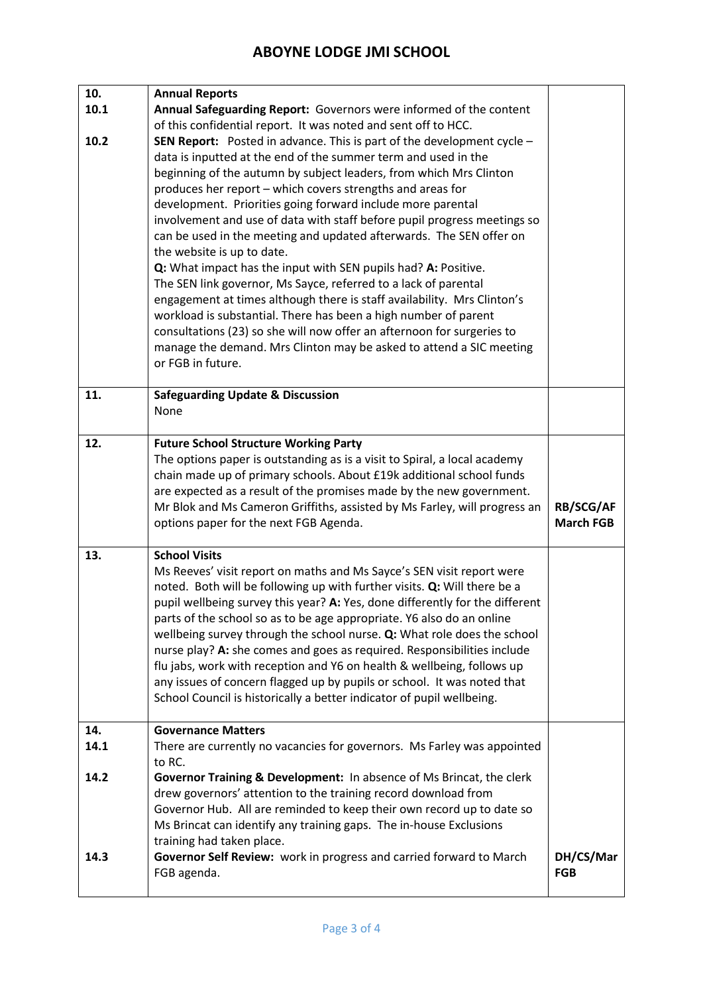| 10.  | <b>Annual Reports</b>                                                                                                            |                  |
|------|----------------------------------------------------------------------------------------------------------------------------------|------------------|
| 10.1 | Annual Safeguarding Report: Governors were informed of the content                                                               |                  |
|      | of this confidential report. It was noted and sent off to HCC.                                                                   |                  |
| 10.2 | <b>SEN Report:</b> Posted in advance. This is part of the development cycle $-$                                                  |                  |
|      | data is inputted at the end of the summer term and used in the                                                                   |                  |
|      | beginning of the autumn by subject leaders, from which Mrs Clinton<br>produces her report - which covers strengths and areas for |                  |
|      | development. Priorities going forward include more parental                                                                      |                  |
|      | involvement and use of data with staff before pupil progress meetings so                                                         |                  |
|      | can be used in the meeting and updated afterwards. The SEN offer on                                                              |                  |
|      | the website is up to date.                                                                                                       |                  |
|      | Q: What impact has the input with SEN pupils had? A: Positive.                                                                   |                  |
|      | The SEN link governor, Ms Sayce, referred to a lack of parental                                                                  |                  |
|      | engagement at times although there is staff availability. Mrs Clinton's                                                          |                  |
|      | workload is substantial. There has been a high number of parent                                                                  |                  |
|      | consultations (23) so she will now offer an afternoon for surgeries to                                                           |                  |
|      | manage the demand. Mrs Clinton may be asked to attend a SIC meeting                                                              |                  |
|      | or FGB in future.                                                                                                                |                  |
| 11.  | <b>Safeguarding Update &amp; Discussion</b>                                                                                      |                  |
|      | None                                                                                                                             |                  |
|      |                                                                                                                                  |                  |
| 12.  | <b>Future School Structure Working Party</b>                                                                                     |                  |
|      | The options paper is outstanding as is a visit to Spiral, a local academy                                                        |                  |
|      | chain made up of primary schools. About £19k additional school funds                                                             |                  |
|      | are expected as a result of the promises made by the new government.                                                             |                  |
|      |                                                                                                                                  |                  |
|      | Mr Blok and Ms Cameron Griffiths, assisted by Ms Farley, will progress an                                                        | <b>RB/SCG/AF</b> |
|      | options paper for the next FGB Agenda.                                                                                           | <b>March FGB</b> |
| 13.  | <b>School Visits</b>                                                                                                             |                  |
|      | Ms Reeves' visit report on maths and Ms Sayce's SEN visit report were                                                            |                  |
|      | noted. Both will be following up with further visits. Q: Will there be a                                                         |                  |
|      | pupil wellbeing survey this year? A: Yes, done differently for the different                                                     |                  |
|      | parts of the school so as to be age appropriate. Y6 also do an online                                                            |                  |
|      | wellbeing survey through the school nurse. Q: What role does the school                                                          |                  |
|      | nurse play? A: she comes and goes as required. Responsibilities include                                                          |                  |
|      | flu jabs, work with reception and Y6 on health & wellbeing, follows up                                                           |                  |
|      | any issues of concern flagged up by pupils or school. It was noted that                                                          |                  |
|      | School Council is historically a better indicator of pupil wellbeing.                                                            |                  |
| 14.  | <b>Governance Matters</b>                                                                                                        |                  |
| 14.1 | There are currently no vacancies for governors. Ms Farley was appointed                                                          |                  |
|      | to RC.                                                                                                                           |                  |
| 14.2 | Governor Training & Development: In absence of Ms Brincat, the clerk                                                             |                  |
|      | drew governors' attention to the training record download from                                                                   |                  |
|      | Governor Hub. All are reminded to keep their own record up to date so                                                            |                  |
|      | Ms Brincat can identify any training gaps. The in-house Exclusions                                                               |                  |
| 14.3 | training had taken place.<br>Governor Self Review: work in progress and carried forward to March                                 | DH/CS/Mar        |
|      | FGB agenda.                                                                                                                      | <b>FGB</b>       |